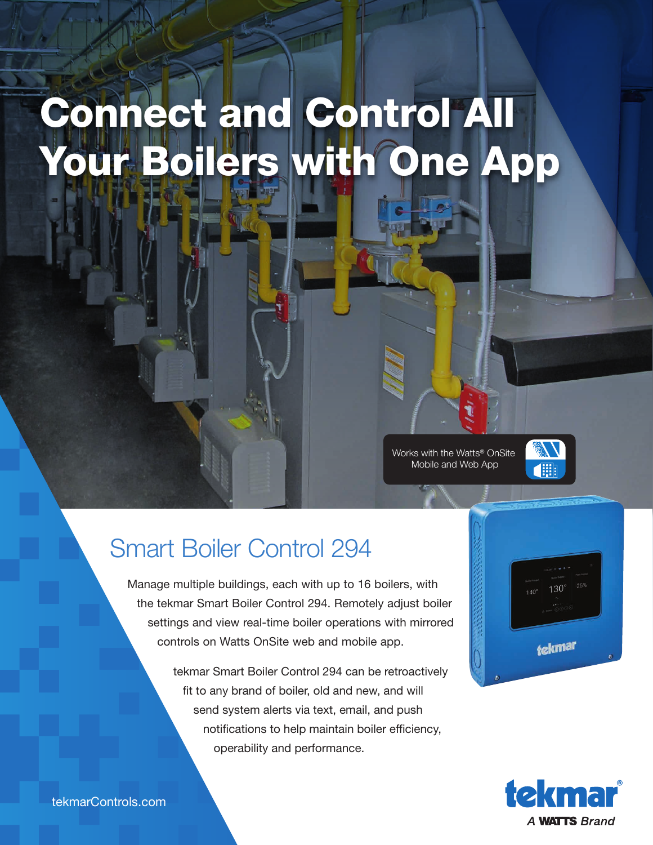## Connect and Control All Your Boilers with One App

Works with the Watts® OnSite Mobile and Web App



## Smart Boiler Control 294

Manage multiple buildings, each with up to 16 boilers, with the tekmar Smart Boiler Control 294. Remotely adjust boiler settings and view real-time boiler operations with mirrored controls on Watts OnSite web and mobile app.

> tekmar Smart Boiler Control 294 can be retroactively fit to any brand of boiler, old and new, and will send system alerts via text, email, and push notifications to help maintain boiler efficiency, operability and performance.





tekmarControls.com